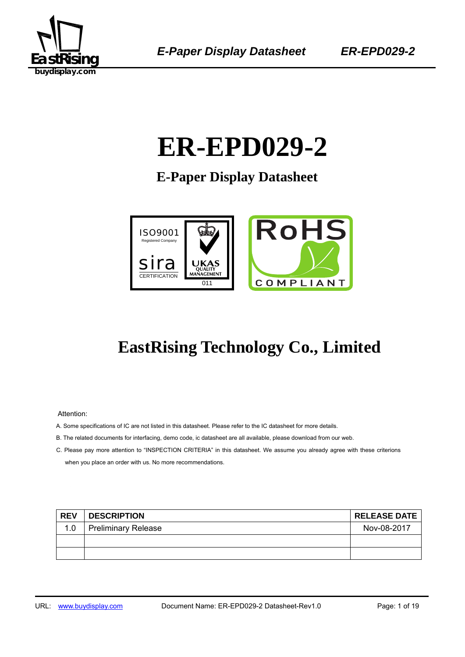

# 1B**ER-EPD029-2**

**E-Paper Display Datasheet** 



## **EastRising Technology Co., Limited**

Attention:

- A. Some specifications of IC are not listed in this datasheet. Please refer to the IC datasheet for more details.
- B. The related documents for interfacing, demo code, ic datasheet are all available, please download from our web.
- C. Please pay more attention to "INSPECTION CRITERIA" in this datasheet. We assume you already agree with these criterions when you place an order with us. No more recommendations.

| <b>REV</b> | <b>DESCRIPTION</b>         | <b>RELEASE DATE</b> |
|------------|----------------------------|---------------------|
| 1.0        | <b>Preliminary Release</b> | Nov-08-2017         |
|            |                            |                     |
|            |                            |                     |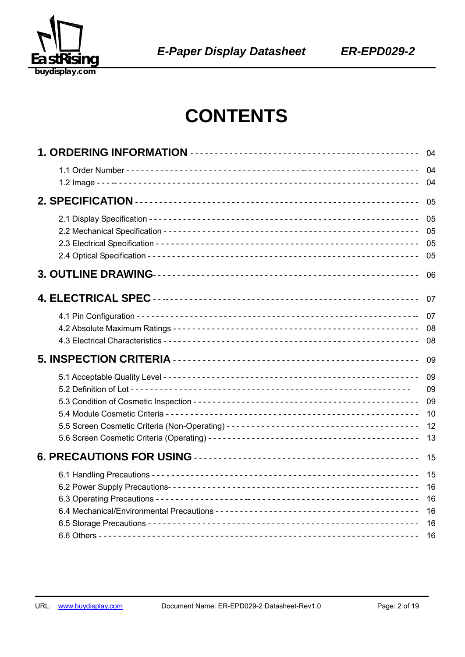

## **CONTENTS**

| 04                   |
|----------------------|
| 04<br>04             |
| 05                   |
| 05<br>05<br>05<br>05 |
| 06                   |
| 07                   |
| 07                   |
| 08<br>08             |
| 09                   |
| 09                   |
| 09<br>09             |
| 10                   |
| 12                   |
| 13                   |
| 15                   |
| 15                   |
| 16                   |
| 16<br>16             |
| 16                   |
| 16                   |
|                      |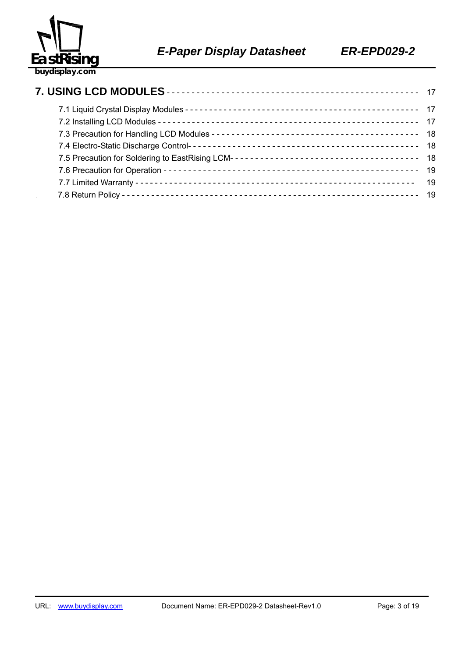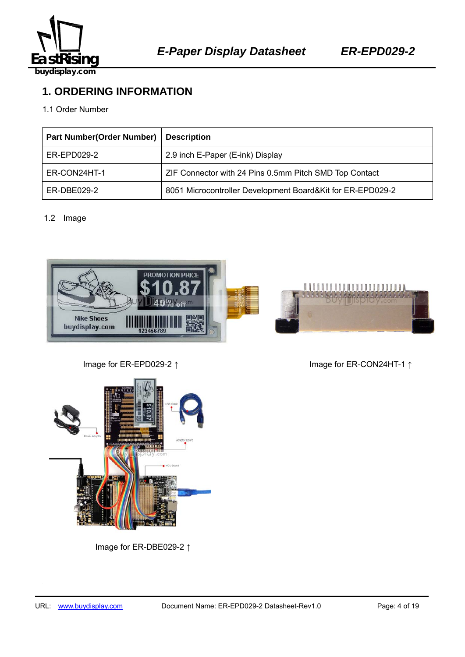

## **1. ORDERING INFORMATION**

#### 1.1 Order Number

| <b>Part Number(Order Number)</b> | <b>Description</b>                                         |
|----------------------------------|------------------------------------------------------------|
| ER-EPD029-2                      | 2.9 inch E-Paper (E-ink) Display                           |
| ER-CON24HT-1                     | ZIF Connector with 24 Pins 0.5mm Pitch SMD Top Contact     |
| ER-DBE029-2                      | 8051 Microcontroller Development Board&Kit for ER-EPD029-2 |

#### 1.2 Image



Image for ER-EPD029-2 ↑ Image for ER-CON24HT-1 ↑



Image for ER-DBE029-2 ↑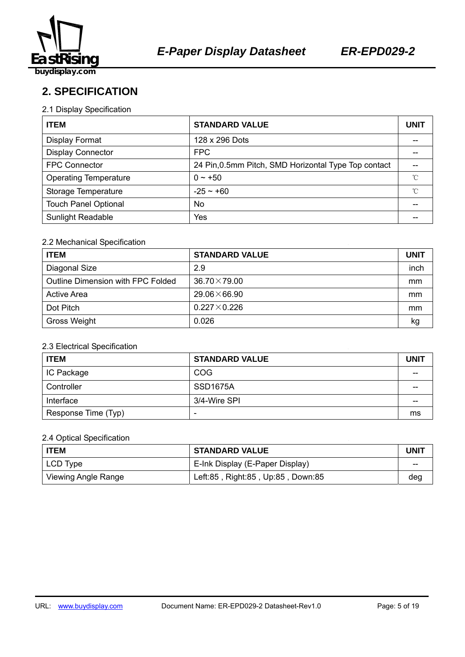

**2. SPECIFICATION** 

#### 2.1 Display Specification

| <b>ITEM</b>                  | <b>STANDARD VALUE</b>                                |    |
|------------------------------|------------------------------------------------------|----|
| <b>Display Format</b>        | 128 x 296 Dots                                       |    |
| <b>Display Connector</b>     | <b>FPC</b>                                           |    |
| <b>FPC Connector</b>         | 24 Pin, 0.5mm Pitch, SMD Horizontal Type Top contact |    |
| <b>Operating Temperature</b> | $0 - +50$                                            | °C |
| Storage Temperature          | $-25 - 60$                                           | °C |
| <b>Touch Panel Optional</b>  | No                                                   |    |
| Sunlight Readable            | Yes                                                  |    |

#### 2.2 Mechanical Specification

| <b>ITEM</b>                       | <b>STANDARD VALUE</b> | <b>UNIT</b> |
|-----------------------------------|-----------------------|-------------|
| Diagonal Size                     | 2.9                   | inch        |
| Outline Dimension with FPC Folded | $36.70 \times 79.00$  | mm          |
| Active Area                       | $29.06\times 66.90$   | mm          |
| Dot Pitch                         | $0.227\times0.226$    | mm          |
| Gross Weight                      | 0.026                 | kg          |

#### 2.3 Electrical Specification

| <b>ITEM</b>         | <b>STANDARD VALUE</b> | <b>UNIT</b> |
|---------------------|-----------------------|-------------|
| IC Package          | <b>COG</b>            |             |
| Controller          | SSD <sub>1675</sub> A | --          |
| Interface           | 3/4-Wire SPI          | --          |
| Response Time (Typ) | -                     | ms          |

#### 2.4 Optical Specification

| <b>ITEM</b>                | <b>STANDARD VALUE</b>             |     |  |
|----------------------------|-----------------------------------|-----|--|
| LCD Type                   | E-Ink Display (E-Paper Display)   | --  |  |
| <b>Viewing Angle Range</b> | Left:85, Right:85, Up:85, Down:85 | deg |  |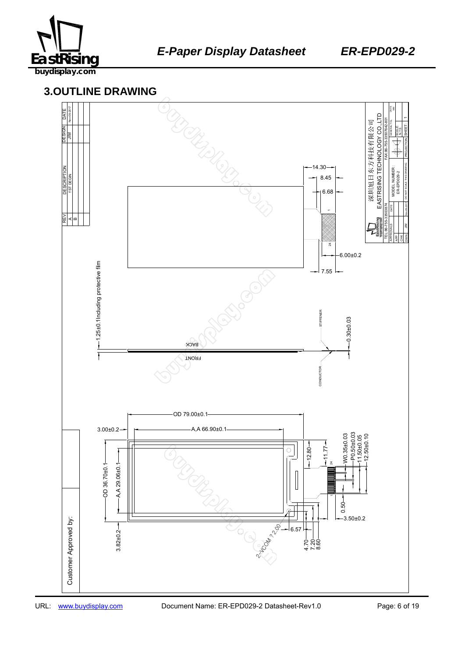

### 459B137645 **3.OUTLINE DRAWING**

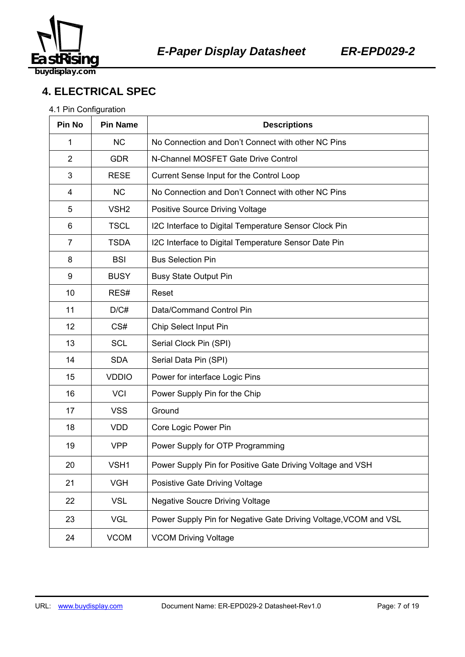

## **4. ELECTRICAL SPEC**

#### 4.1 Pin Configuration

| Pin No         | <b>Pin Name</b>  | <b>Descriptions</b>                                              |  |  |
|----------------|------------------|------------------------------------------------------------------|--|--|
| 1              | <b>NC</b>        | No Connection and Don't Connect with other NC Pins               |  |  |
| 2              | <b>GDR</b>       | N-Channel MOSFET Gate Drive Control                              |  |  |
| 3              | <b>RESE</b>      | Current Sense Input for the Control Loop                         |  |  |
| 4              | <b>NC</b>        | No Connection and Don't Connect with other NC Pins               |  |  |
| 5              | VSH <sub>2</sub> | <b>Positive Source Driving Voltage</b>                           |  |  |
| 6              | <b>TSCL</b>      | I2C Interface to Digital Temperature Sensor Clock Pin            |  |  |
| $\overline{7}$ | <b>TSDA</b>      | I2C Interface to Digital Temperature Sensor Date Pin             |  |  |
| 8              | <b>BSI</b>       | <b>Bus Selection Pin</b>                                         |  |  |
| 9              | <b>BUSY</b>      | <b>Busy State Output Pin</b>                                     |  |  |
| 10             | RES#             | Reset                                                            |  |  |
| 11             | D/C#             | Data/Command Control Pin                                         |  |  |
| 12             | CS#              | Chip Select Input Pin                                            |  |  |
| 13             | <b>SCL</b>       | Serial Clock Pin (SPI)                                           |  |  |
| 14             | <b>SDA</b>       | Serial Data Pin (SPI)                                            |  |  |
| 15             | <b>VDDIO</b>     | Power for interface Logic Pins                                   |  |  |
| 16             | <b>VCI</b>       | Power Supply Pin for the Chip                                    |  |  |
| 17             | <b>VSS</b>       | Ground                                                           |  |  |
| 18             | <b>VDD</b>       | Core Logic Power Pin                                             |  |  |
| 19             | <b>VPP</b>       | Power Supply for OTP Programming                                 |  |  |
| 20             | VSH1             | Power Supply Pin for Positive Gate Driving Voltage and VSH       |  |  |
| 21             | <b>VGH</b>       | Posistive Gate Driving Voltage                                   |  |  |
| 22             | <b>VSL</b>       | <b>Negative Soucre Driving Voltage</b>                           |  |  |
| 23             | <b>VGL</b>       | Power Supply Pin for Negative Gate Driving Voltage, VCOM and VSL |  |  |
| 24             | <b>VCOM</b>      | <b>VCOM Driving Voltage</b>                                      |  |  |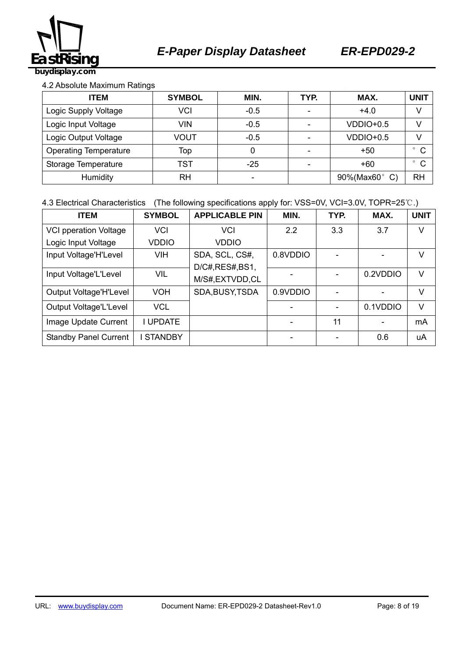

#### 4.2 Absolute Maximum Ratings

| <b>ITEM</b>                         | <b>SYMBOL</b> | MIN.   | TYP. | MAX.        | <b>UNIT</b>             |
|-------------------------------------|---------------|--------|------|-------------|-------------------------|
| Logic Supply Voltage                | VCI           | $-0.5$ | -    | $+4.0$      | V                       |
| Logic Input Voltage<br><b>VIN</b>   |               | $-0.5$ |      | $VDDIO+0.5$ | V                       |
| Logic Output Voltage                | VOUT          | $-0.5$ |      | $VDDIO+0.5$ |                         |
| <b>Operating Temperature</b><br>Top |               | 0      |      | $+50$       | $\mathsf{C}$            |
| Storage Temperature                 | TST           | $-25$  |      | $+60$       | $\mathsf{C}$<br>$\circ$ |
| <b>RH</b><br>Humidity               |               |        |      | 90%(Max60°  | <b>RH</b>               |

#### 4.3 Electrical Characteristics (The following specifications apply for: VSS=0V, VCI=3.0V, TOPR=25℃.)

| <b>ITEM</b>                  | <b>SYMBOL</b>   | <b>APPLICABLE PIN</b> | MIN.     | TYP. | MAX.     | <b>UNIT</b> |
|------------------------------|-----------------|-----------------------|----------|------|----------|-------------|
| <b>VCI pperation Voltage</b> | VCI             | <b>VCI</b>            | 2.2      | 3.3  | 3.7      | V           |
| Logic Input Voltage          | <b>VDDIO</b>    | <b>VDDIO</b>          |          |      |          |             |
| Input Voltage'H'Level        | VIH             | SDA, SCL, CS#,        | 0.8VDDIO |      |          | V           |
|                              |                 | D/C#, RES#, BS1,      |          |      |          |             |
| Input Voltage'L'Level        | <b>VIL</b>      | M/S#,EXTVDD,CL        |          |      | 0.2VDDIO | V           |
| Output Voltage'H'Level       | VOH             | SDA, BUSY, TSDA       | 0.9VDDIO |      |          | V           |
| Output Voltage'L'Level       | <b>VCL</b>      |                       |          |      | 0.1VDDIO | V           |
| Image Update Current         | <b>I UPDATE</b> |                       |          | 11   |          | mA          |
| <b>Standby Panel Current</b> | <b>STANDBY</b>  |                       |          |      | 0.6      | uA          |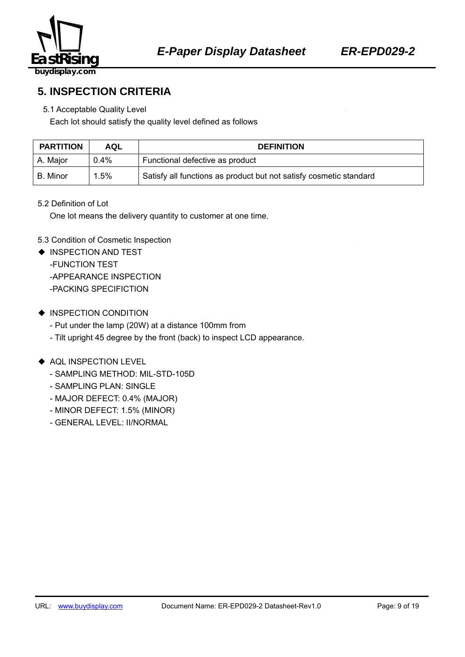

**5. INSPECTION CRITERIA** 

## 5.1 Acceptable Quality Level

Each lot should satisfy the quality level defined as follows

| <b>PARTITION</b> | AQL     | <b>DEFINITION</b>                                                  |  |  |
|------------------|---------|--------------------------------------------------------------------|--|--|
| A. Major         | $0.4\%$ | Functional defective as product                                    |  |  |
| l B. Minor       | $1.5\%$ | Satisfy all functions as product but not satisfy cosmetic standard |  |  |

#### 5.2 Definition of Lot

One lot means the delivery quantity to customer at one time.

#### 5.3 Condition of Cosmetic Inspection

- ◆ INSPECTION AND TEST -FUNCTION TEST -APPEARANCE INSPECTION -PACKING SPECIFICTION
- ◆ INSPECTION CONDITION
	- Put under the lamp (20W) at a distance 100mm from
	- Tilt upright 45 degree by the front (back) to inspect LCD appearance.

#### ◆ AQL INSPECTION LEVEL

- SAMPLING METHOD: MIL-STD-105D
- SAMPLING PLAN: SINGLE
- MAJOR DEFECT: 0.4% (MAJOR)
- MINOR DEFECT: 1.5% (MINOR)
- GENERAL LEVEL: II/NORMAL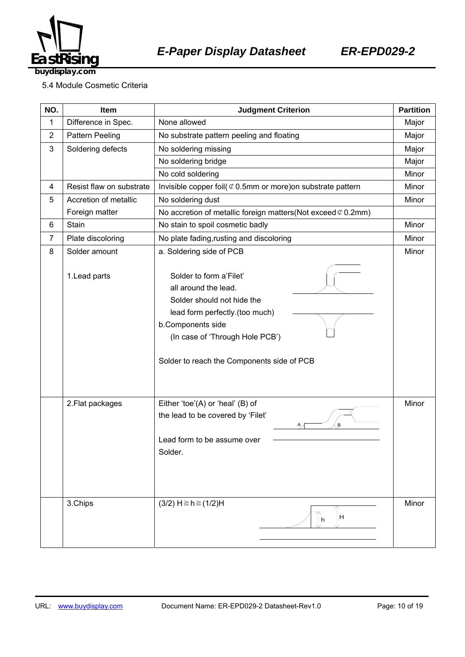

5.4 Module Cosmetic Criteria

| NO.            | Item                     | <b>Judgment Criterion</b>                                                                                                                                                                                             |       |
|----------------|--------------------------|-----------------------------------------------------------------------------------------------------------------------------------------------------------------------------------------------------------------------|-------|
| 1              | Difference in Spec.      | None allowed                                                                                                                                                                                                          | Major |
| $\overline{c}$ | <b>Pattern Peeling</b>   | No substrate pattern peeling and floating                                                                                                                                                                             | Major |
| 3              | Soldering defects        | No soldering missing                                                                                                                                                                                                  | Major |
|                |                          | No soldering bridge                                                                                                                                                                                                   | Major |
|                |                          | No cold soldering                                                                                                                                                                                                     | Minor |
| 4              | Resist flaw on substrate | Invisible copper foil( $\mathcal{C}$ 0.5mm or more) on substrate pattern                                                                                                                                              | Minor |
| 5              | Accretion of metallic    | No soldering dust                                                                                                                                                                                                     | Minor |
|                | Foreign matter           | No accretion of metallic foreign matters (Not exceed $\varphi$ 0.2mm)                                                                                                                                                 |       |
| 6              | Stain                    | No stain to spoil cosmetic badly                                                                                                                                                                                      | Minor |
| $\overline{7}$ | Plate discoloring        | No plate fading, rusting and discoloring                                                                                                                                                                              | Minor |
| 8              | Solder amount            | a. Soldering side of PCB                                                                                                                                                                                              | Minor |
|                | 1. Lead parts            | Solder to form a'Filet'<br>all around the lead.<br>Solder should not hide the<br>lead form perfectly.(too much)<br>b.Components side<br>(In case of 'Through Hole PCB')<br>Solder to reach the Components side of PCB |       |
|                | 2. Flat packages         | Either 'toe'(A) or 'heal' (B) of<br>the lead to be covered by 'Filet'<br>В<br>А,<br>Lead form to be assume over<br>Solder.                                                                                            | Minor |
|                | 3.Chips                  | $(3/2)$ H ≥ h ≥ $(1/2)$ H<br>H<br>h                                                                                                                                                                                   | Minor |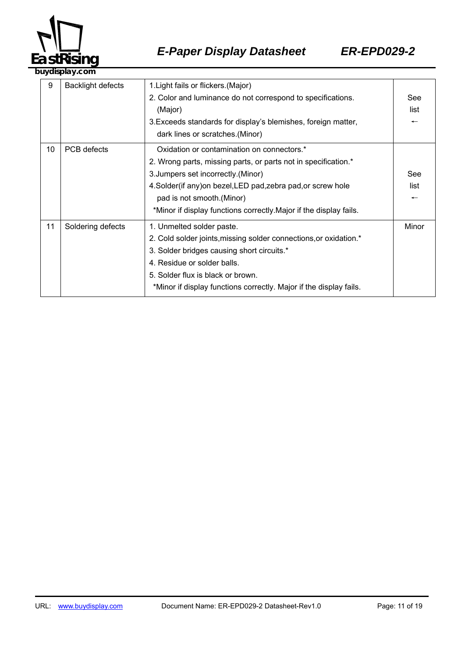

|    | ,u yulupiu yi collii     |                                                                                                                                                                                                                                                                                                                          |                                         |  |
|----|--------------------------|--------------------------------------------------------------------------------------------------------------------------------------------------------------------------------------------------------------------------------------------------------------------------------------------------------------------------|-----------------------------------------|--|
| 9  | <b>Backlight defects</b> | 1. Light fails or flickers. (Major)<br>2. Color and luminance do not correspond to specifications.<br>(Major)<br>3. Exceeds standards for display's blemishes, foreign matter,<br>dark lines or scratches.(Minor)                                                                                                        | See<br>list<br>$\overline{\phantom{0}}$ |  |
| 10 | PCB defects              | Oxidation or contamination on connectors.*<br>2. Wrong parts, missing parts, or parts not in specification.*<br>3. Jumpers set incorrectly. (Minor)<br>4. Solder(if any) on bezel, LED pad, zebra pad, or screw hole<br>pad is not smooth. (Minor)<br>*Minor if display functions correctly. Major if the display fails. | See<br>list<br>$\overline{\phantom{m}}$ |  |
| 11 | Soldering defects        | 1. Unmelted solder paste.<br>2. Cold solder joints, missing solder connections, or oxidation.*<br>3. Solder bridges causing short circuits.*<br>4. Residue or solder balls.<br>5. Solder flux is black or brown.<br>*Minor if display functions correctly. Major if the display fails.                                   | Minor                                   |  |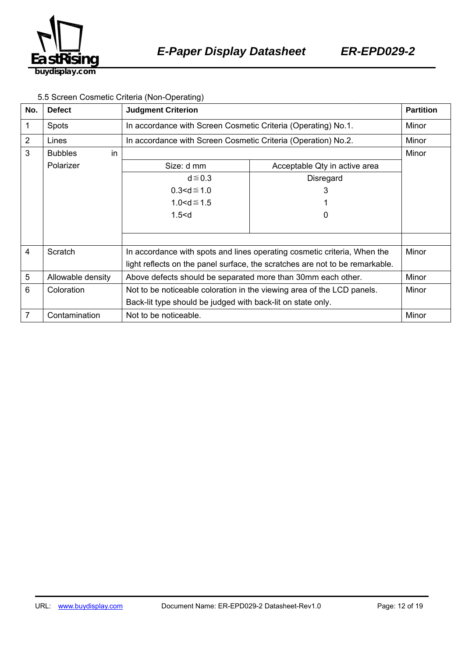

#### 5.5 Screen Cosmetic Criteria (Non-Operating)

| No.            | <b>Defect</b>        | <b>Judgment Criterion</b>                                                    |                               | <b>Partition</b> |
|----------------|----------------------|------------------------------------------------------------------------------|-------------------------------|------------------|
| 1              | <b>Spots</b>         | In accordance with Screen Cosmetic Criteria (Operating) No.1.                |                               | Minor            |
| $\overline{2}$ | Lines                | In accordance with Screen Cosmetic Criteria (Operation) No.2.                |                               | Minor            |
| 3              | in<br><b>Bubbles</b> |                                                                              |                               | Minor            |
|                | Polarizer            | Size: d mm                                                                   | Acceptable Qty in active area |                  |
|                |                      | $d \le 0.3$                                                                  | <b>Disregard</b>              |                  |
|                |                      | $0.3 < d \le 1.0$                                                            | 3                             |                  |
|                |                      | $1.0 < d \le 1.5$                                                            |                               |                  |
|                |                      | 1.5 < d                                                                      | 0                             |                  |
|                |                      |                                                                              |                               |                  |
|                |                      |                                                                              |                               |                  |
| 4              | Scratch              | In accordance with spots and lines operating cosmetic criteria, When the     |                               | Minor            |
|                |                      | light reflects on the panel surface, the scratches are not to be remarkable. |                               |                  |
| 5              | Allowable density    | Above defects should be separated more than 30mm each other.                 |                               | Minor            |
| 6              | Coloration           | Not to be noticeable coloration in the viewing area of the LCD panels.       |                               | Minor            |
|                |                      | Back-lit type should be judged with back-lit on state only.                  |                               |                  |
| $\overline{7}$ | Contamination        | Not to be noticeable.                                                        |                               | Minor            |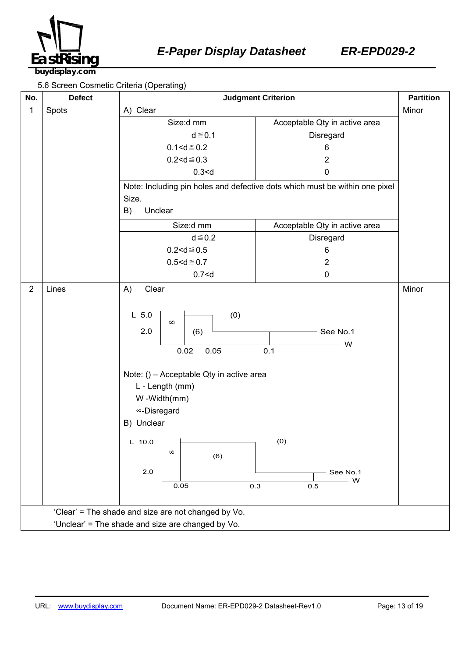

5.6 Screen Cosmetic Criteria (Operating)

| No.                                                 | <b>Defect</b>                                     | among antona (abording)<br><b>Judgment Criterion</b><br><b>Partition</b>                                                                                                                                          |                                                                             |       |  |
|-----------------------------------------------------|---------------------------------------------------|-------------------------------------------------------------------------------------------------------------------------------------------------------------------------------------------------------------------|-----------------------------------------------------------------------------|-------|--|
| 1                                                   | Spots                                             | A) Clear                                                                                                                                                                                                          |                                                                             | Minor |  |
|                                                     |                                                   | Size:d mm                                                                                                                                                                                                         | Acceptable Qty in active area                                               |       |  |
|                                                     |                                                   | $d \leq 0.1$                                                                                                                                                                                                      | Disregard                                                                   |       |  |
|                                                     |                                                   | $0.1 < d \le 0.2$                                                                                                                                                                                                 | 6                                                                           |       |  |
|                                                     |                                                   | $0.2 < d \le 0.3$                                                                                                                                                                                                 | $\overline{2}$                                                              |       |  |
|                                                     |                                                   | 0.3 < d                                                                                                                                                                                                           | $\pmb{0}$                                                                   |       |  |
|                                                     |                                                   | Size.                                                                                                                                                                                                             | Note: Including pin holes and defective dots which must be within one pixel |       |  |
|                                                     |                                                   | B)<br>Unclear                                                                                                                                                                                                     |                                                                             |       |  |
|                                                     |                                                   | Size:d mm                                                                                                                                                                                                         | Acceptable Qty in active area                                               |       |  |
|                                                     |                                                   | $d \leq 0.2$                                                                                                                                                                                                      | Disregard                                                                   |       |  |
|                                                     |                                                   | $0.2 < d \le 0.5$                                                                                                                                                                                                 | 6                                                                           |       |  |
|                                                     |                                                   | $0.5 < d \le 0.7$                                                                                                                                                                                                 | $\overline{c}$                                                              |       |  |
|                                                     |                                                   | 0.7 < d                                                                                                                                                                                                           | $\pmb{0}$                                                                   |       |  |
| $\overline{2}$                                      | Lines                                             | Clear<br>A)<br>(0)<br>$L$ 5.0<br>$\infty$<br>2.0<br>(6)<br>0.05<br>0.02<br>Note: () - Acceptable Qty in active area<br>L - Length (mm)<br>W-Width(mm)<br>∞-Disregard<br>B) Unclear<br>$L$ 10.0<br>$\infty$<br>(6) | $-$ See No.1<br>W<br>0.1<br>(0)                                             | Minor |  |
|                                                     |                                                   | 2.0<br>0.05<br>0.3                                                                                                                                                                                                | See No.1<br>W<br>0.5                                                        |       |  |
| 'Clear' = The shade and size are not changed by Vo. |                                                   |                                                                                                                                                                                                                   |                                                                             |       |  |
|                                                     | 'Unclear' = The shade and size are changed by Vo. |                                                                                                                                                                                                                   |                                                                             |       |  |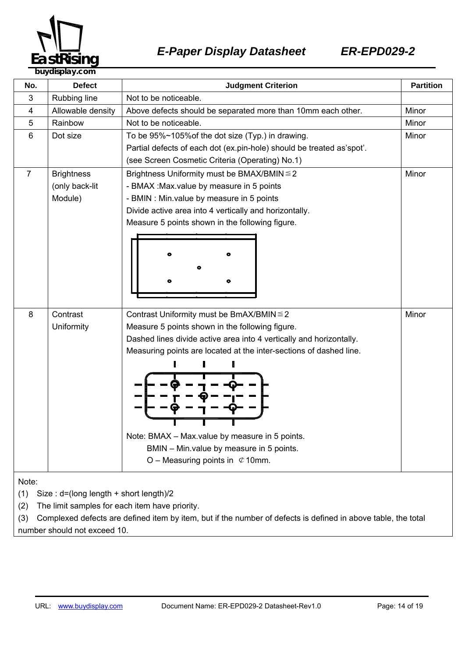

| No.                                           | <b>Defect</b>                                                                                                 | <b>Partition</b><br><b>Judgment Criterion</b>                         |       |  |
|-----------------------------------------------|---------------------------------------------------------------------------------------------------------------|-----------------------------------------------------------------------|-------|--|
| 3                                             | Rubbing line                                                                                                  | Not to be noticeable.                                                 |       |  |
| 4                                             | Allowable density                                                                                             | Above defects should be separated more than 10mm each other.          | Minor |  |
| 5                                             | Rainbow                                                                                                       | Not to be noticeable.                                                 | Minor |  |
| 6                                             | Dot size                                                                                                      | To be 95%~105% of the dot size (Typ.) in drawing.                     | Minor |  |
|                                               |                                                                                                               | Partial defects of each dot (ex.pin-hole) should be treated as'spot'. |       |  |
|                                               |                                                                                                               | (see Screen Cosmetic Criteria (Operating) No.1)                       |       |  |
| $\overline{7}$                                | <b>Brightness</b>                                                                                             | Brightness Uniformity must be BMAX/BMIN ≤ 2<br>Minor                  |       |  |
|                                               | (only back-lit                                                                                                | - BMAX : Max.value by measure in 5 points                             |       |  |
|                                               | Module)                                                                                                       | - BMIN : Min.value by measure in 5 points                             |       |  |
|                                               |                                                                                                               | Divide active area into 4 vertically and horizontally.                |       |  |
|                                               |                                                                                                               | Measure 5 points shown in the following figure.                       |       |  |
|                                               |                                                                                                               |                                                                       |       |  |
|                                               |                                                                                                               |                                                                       |       |  |
|                                               |                                                                                                               |                                                                       |       |  |
|                                               |                                                                                                               |                                                                       |       |  |
|                                               |                                                                                                               |                                                                       |       |  |
|                                               |                                                                                                               |                                                                       |       |  |
| 8                                             | Contrast                                                                                                      | Minor<br>Contrast Uniformity must be BmAX/BMIN ≤ 2                    |       |  |
|                                               | Uniformity                                                                                                    | Measure 5 points shown in the following figure.                       |       |  |
|                                               |                                                                                                               | Dashed lines divide active area into 4 vertically and horizontally.   |       |  |
|                                               |                                                                                                               | Measuring points are located at the inter-sections of dashed line.    |       |  |
|                                               |                                                                                                               |                                                                       |       |  |
|                                               |                                                                                                               |                                                                       |       |  |
|                                               |                                                                                                               |                                                                       |       |  |
|                                               |                                                                                                               |                                                                       |       |  |
|                                               |                                                                                                               |                                                                       |       |  |
|                                               |                                                                                                               |                                                                       |       |  |
|                                               |                                                                                                               | Note: BMAX - Max.value by measure in 5 points.                        |       |  |
|                                               |                                                                                                               | BMIN - Min.value by measure in 5 points.                              |       |  |
|                                               |                                                                                                               | O – Measuring points in $\mathfrak{C}$ 10mm.                          |       |  |
|                                               |                                                                                                               |                                                                       |       |  |
| Note:                                         |                                                                                                               |                                                                       |       |  |
| (1)<br>Size: d=(long length + short length)/2 |                                                                                                               |                                                                       |       |  |
| (2)                                           | The limit samples for each item have priority.                                                                |                                                                       |       |  |
| (3)                                           | Complexed defects are defined item by item, but if the number of defects is defined in above table, the total |                                                                       |       |  |

number should not exceed 10.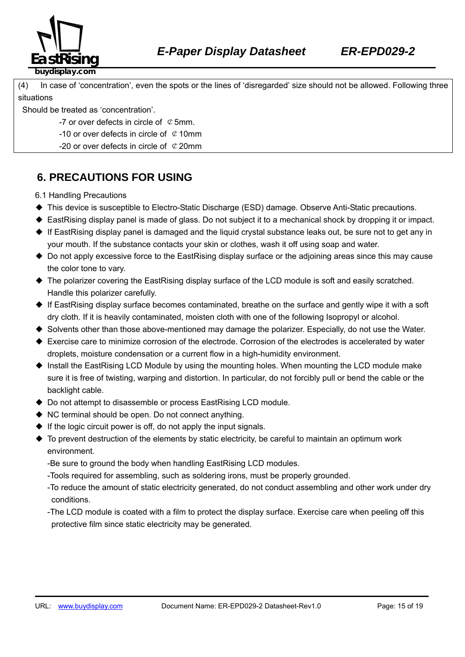

(4) In case of 'concentration', even the spots or the lines of 'disregarded' size should not be allowed. Following three

situations

Should be treated as 'concentration'.

-7 or over defects in circle of  $\mathcal Q$  5mm.

- -10 or over defects in circle of  $\mathcal Q$  10mm
- -20 or over defects in circle of  $\mathcal{C}$  20mm

## **6. PRECAUTIONS FOR USING**

6.1 Handling Precautions

- ◆ This device is susceptible to Electro-Static Discharge (ESD) damage. Observe Anti-Static precautions.
- ◆ EastRising display panel is made of glass. Do not subject it to a mechanical shock by dropping it or impact.
- ◆ If EastRising display panel is damaged and the liquid crystal substance leaks out, be sure not to get any in your mouth. If the substance contacts your skin or clothes, wash it off using soap and water.
- ◆ Do not apply excessive force to the EastRising display surface or the adjoining areas since this may cause the color tone to vary.
- ◆ The polarizer covering the EastRising display surface of the LCD module is soft and easily scratched. Handle this polarizer carefully.
- ◆ If EastRising display surface becomes contaminated, breathe on the surface and gently wipe it with a soft dry cloth. If it is heavily contaminated, moisten cloth with one of the following Isopropyl or alcohol.
- ◆ Solvents other than those above-mentioned may damage the polarizer. Especially, do not use the Water.
- ◆ Exercise care to minimize corrosion of the electrode. Corrosion of the electrodes is accelerated by water droplets, moisture condensation or a current flow in a high-humidity environment.
- ◆ Install the EastRising LCD Module by using the mounting holes. When mounting the LCD module make sure it is free of twisting, warping and distortion. In particular, do not forcibly pull or bend the cable or the backlight cable.
- ◆ Do not attempt to disassemble or process EastRising LCD module.
- ◆ NC terminal should be open. Do not connect anything.
- $\blacklozenge$  If the logic circuit power is off, do not apply the input signals.
- ◆ To prevent destruction of the elements by static electricity, be careful to maintain an optimum work environment.
	- -Be sure to ground the body when handling EastRising LCD modules.
	- -Tools required for assembling, such as soldering irons, must be properly grounded.
	- -To reduce the amount of static electricity generated, do not conduct assembling and other work under dry conditions.
	- -The LCD module is coated with a film to protect the display surface. Exercise care when peeling off this protective film since static electricity may be generated.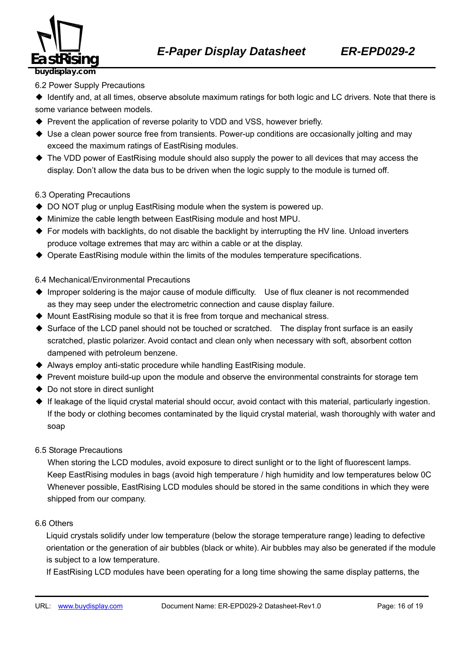

#### 6.2 Power Supply Precautions

◆ Identify and, at all times, observe absolute maximum ratings for both logic and LC drivers. Note that there is some variance between models.

- ◆ Prevent the application of reverse polarity to VDD and VSS, however briefly.
- ◆ Use a clean power source free from transients. Power-up conditions are occasionally jolting and may exceed the maximum ratings of EastRising modules.
- ◆ The VDD power of EastRising module should also supply the power to all devices that may access the display. Don't allow the data bus to be driven when the logic supply to the module is turned off.

#### 6.3 Operating Precautions

- ◆ DO NOT plug or unplug EastRising module when the system is powered up.
- ◆ Minimize the cable length between EastRising module and host MPU.
- ◆ For models with backlights, do not disable the backlight by interrupting the HV line. Unload inverters produce voltage extremes that may arc within a cable or at the display.
- ◆ Operate EastRising module within the limits of the modules temperature specifications.

#### 6.4 Mechanical/Environmental Precautions

- ◆ Improper soldering is the major cause of module difficulty. Use of flux cleaner is not recommended as they may seep under the electrometric connection and cause display failure.
- ◆ Mount EastRising module so that it is free from torque and mechanical stress.
- ◆ Surface of the LCD panel should not be touched or scratched. The display front surface is an easily scratched, plastic polarizer. Avoid contact and clean only when necessary with soft, absorbent cotton dampened with petroleum benzene.
- ◆ Always employ anti-static procedure while handling EastRising module.
- ◆ Prevent moisture build-up upon the module and observe the environmental constraints for storage tem
- ◆ Do not store in direct sunlight
- ◆ If leakage of the liquid crystal material should occur, avoid contact with this material, particularly ingestion. If the body or clothing becomes contaminated by the liquid crystal material, wash thoroughly with water and soap
- 6.5 Storage Precautions

When storing the LCD modules, avoid exposure to direct sunlight or to the light of fluorescent lamps. 360B574Keep EastRising modules in bags (avoid high temperature / high humidity and low temperatures below 0C Whenever possible, EastRising LCD modules should be stored in the same conditions in which they were shipped from our company.

#### 6.6 Others <sup>H</sup> <sup>H</sup>

Liquid crystals solidify under low temperature (below the storage temperature range) leading to defective orientation or the generation of air bubbles (black or white). Air bubbles may also be generated if the module is subject to a low temperature.

If EastRising LCD modules have been operating for a long time showing the same display patterns, the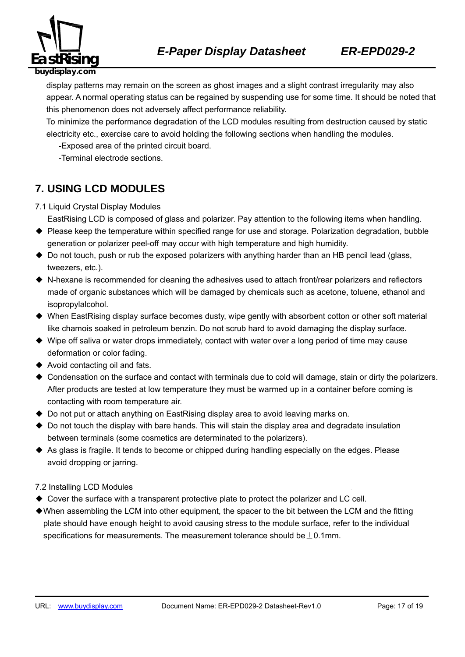

display patterns may remain on the screen as ghost images and a slight contrast irregularity may also appear. A normal operating status can be regained by suspending use for some time. It should be noted that this phenomenon does not adversely affect performance reliability.

To minimize the performance degradation of the LCD modules resulting from destruction caused by static electricity etc., exercise care to avoid holding the following sections when handling the modules.

-Exposed area of the printed circuit board.

-Terminal electrode sections.

### **7. USING LCD MODULES**

- 7.1 Liquid Crystal Display Modules
	- EastRising LCD is composed of glass and polarizer. Pay attention to the following items when handling.
- ◆ Please keep the temperature within specified range for use and storage. Polarization degradation, bubble generation or polarizer peel-off may occur with high temperature and high humidity.
- ◆ Do not touch, push or rub the exposed polarizers with anything harder than an HB pencil lead (glass, tweezers, etc.).
- ◆ N-hexane is recommended for cleaning the adhesives used to attach front/rear polarizers and reflectors made of organic substances which will be damaged by chemicals such as acetone, toluene, ethanol and isopropylalcohol.
- ◆ When EastRising display surface becomes dusty, wipe gently with absorbent cotton or other soft material like chamois soaked in petroleum benzin. Do not scrub hard to avoid damaging the display surface.
- ◆ Wipe off saliva or water drops immediately, contact with water over a long period of time may cause deformation or color fading.
- ◆ Avoid contacting oil and fats.
- ◆ Condensation on the surface and contact with terminals due to cold will damage, stain or dirty the polarizers. After products are tested at low temperature they must be warmed up in a container before coming is contacting with room temperature air.
- ◆ Do not put or attach anything on EastRising display area to avoid leaving marks on.
- ◆ Do not touch the display with bare hands. This will stain the display area and degradate insulation between terminals (some cosmetics are determinated to the polarizers).
- ◆ As glass is fragile. It tends to become or chipped during handling especially on the edges. Please avoid dropping or jarring.

#### 7.2 Installing LCD Modules

- ◆ Cover the surface with a transparent protective plate to protect the polarizer and LC cell.
- ◆When assembling the LCM into other equipment, the spacer to the bit between the LCM and the fitting plate should have enough height to avoid causing stress to the module surface, refer to the individual specifications for measurements. The measurement tolerance should be  $\pm$  0.1mm.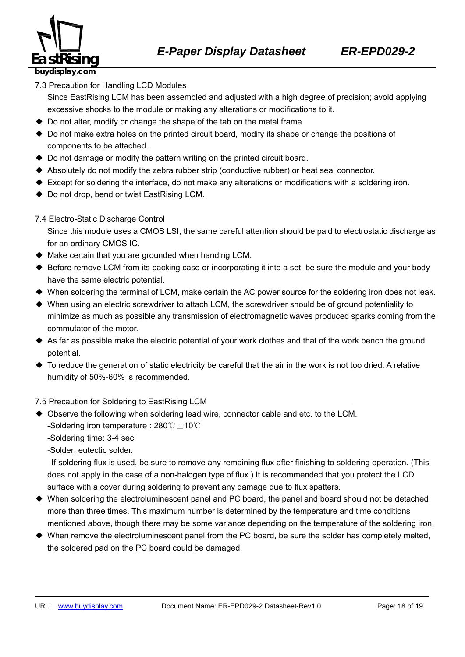

7.3 Precaution for Handling LCD Modules

Since EastRising LCM has been assembled and adjusted with a high degree of precision; avoid applying excessive shocks to the module or making any alterations or modifications to it.

- ◆ Do not alter, modify or change the shape of the tab on the metal frame.
- ◆ Do not make extra holes on the printed circuit board, modify its shape or change the positions of components to be attached.
- ◆ Do not damage or modify the pattern writing on the printed circuit board.
- ◆ Absolutely do not modify the zebra rubber strip (conductive rubber) or heat seal connector.
- ◆ Except for soldering the interface, do not make any alterations or modifications with a soldering iron.
- ◆ Do not drop, bend or twist EastRising LCM.
- 7.4 Electro-Static Discharge Control

Since this module uses a CMOS LSI, the same careful attention should be paid to electrostatic discharge as for an ordinary CMOS IC.

- $\blacklozenge$  Make certain that you are grounded when handing LCM.
- ◆ Before remove LCM from its packing case or incorporating it into a set, be sure the module and your body have the same electric potential.
- ◆ When soldering the terminal of LCM, make certain the AC power source for the soldering iron does not leak.
- ◆ When using an electric screwdriver to attach LCM, the screwdriver should be of ground potentiality to minimize as much as possible any transmission of electromagnetic waves produced sparks coming from the commutator of the motor.
- ◆ As far as possible make the electric potential of your work clothes and that of the work bench the ground potential.
- $\blacklozenge$  To reduce the generation of static electricity be careful that the air in the work is not too dried. A relative humidity of 50%-60% is recommended.

7.5 Precaution for Soldering to EastRising LCM

- ◆ Observe the following when soldering lead wire, connector cable and etc. to the LCM. -Soldering iron temperature : 280° $C \pm 10^{\circ}C$ 
	- -Soldering time: 3-4 sec.

-Solder: eutectic solder.

If soldering flux is used, be sure to remove any remaining flux after finishing to soldering operation. (This does not apply in the case of a non-halogen type of flux.) It is recommended that you protect the LCD surface with a cover during soldering to prevent any damage due to flux spatters.

- ◆ When soldering the electroluminescent panel and PC board, the panel and board should not be detached more than three times. This maximum number is determined by the temperature and time conditions mentioned above, though there may be some variance depending on the temperature of the soldering iron.
- ◆ When remove the electroluminescent panel from the PC board, be sure the solder has completely melted, the soldered pad on the PC board could be damaged.